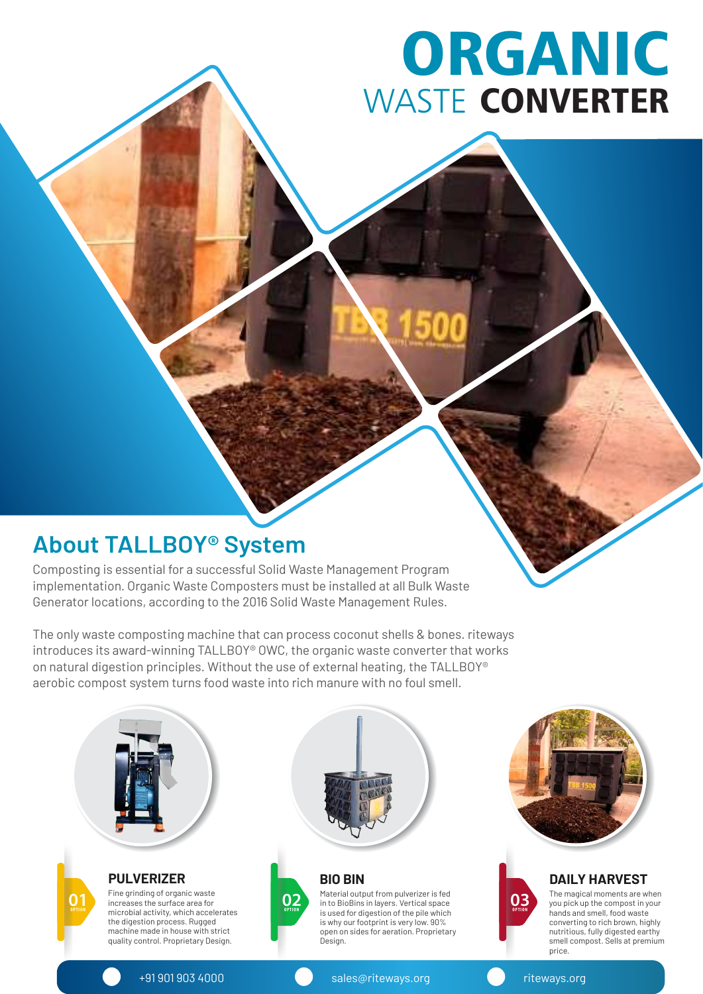# ORGANIC WASTE CONVERTER

### **About TALLBOY® System**

Composting is essential for a successful Solid Waste Management Program implementation. Organic Waste Composters must be installed at all Bulk Waste Generator locations, according to the 2016 Solid Waste Management Rules.

The only waste composting machine that can process coconut shells & bones. riteways introduces its award-winning TALLBOY® OWC, the organic waste converter that works on natural digestion principles. Without the use of external heating, the TALLBOY® aerobic compost system turns food waste into rich manure with no foul smell.





#### **DAILY HARVEST**

The magical moments are when you pick up the compost in your hands and smell, food waste converting to rich brown, highly nutritious, fully digested earthy smell compost. Sells at premium price.

+91 901 903 4000 sales@riteways.org riteways.org